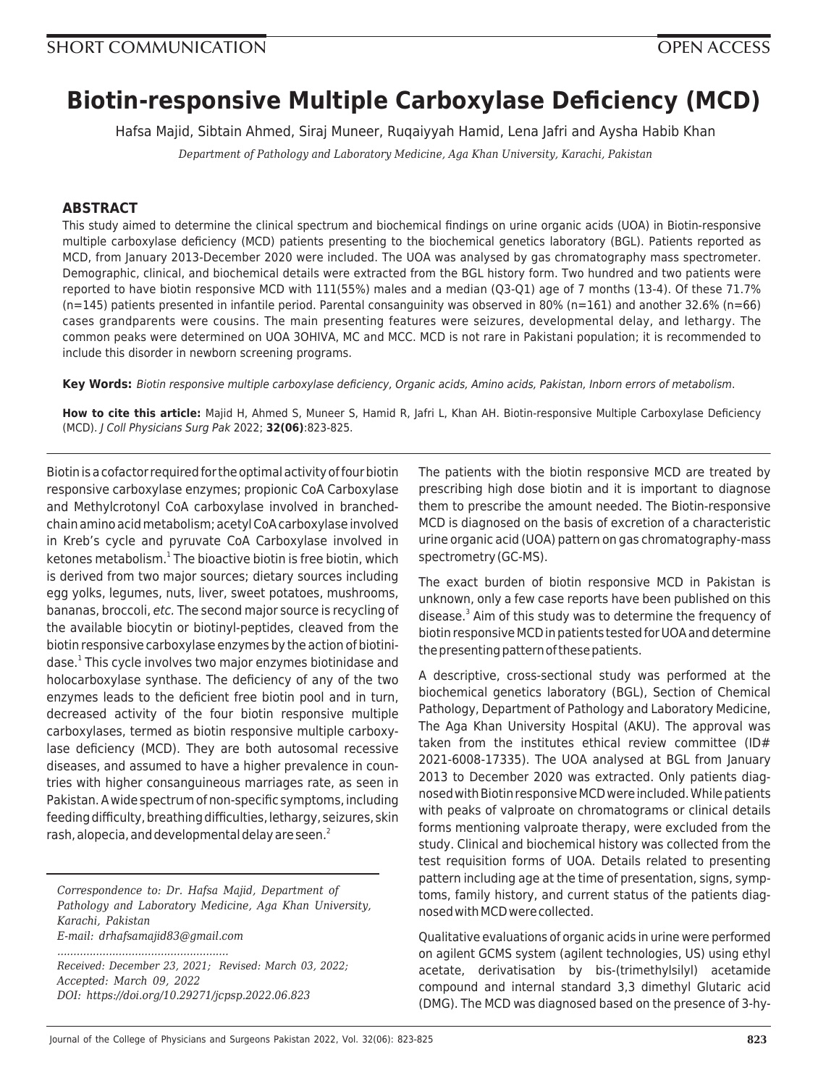# **Biotin-responsive Multiple Carboxylase Deficiency (MCD)**

Hafsa Majid, Sibtain Ahmed, Siraj Muneer, Ruqaiyyah Hamid, Lena Jafri and Aysha Habib Khan

*Department of Pathology and Laboratory Medicine, Aga Khan University, Karachi, Pakistan*

## **ABSTRACT**

This study aimed to determine the clinical spectrum and biochemical findings on urine organic acids (UOA) in Biotin-responsive multiple carboxylase deficiency (MCD) patients presenting to the biochemical genetics laboratory (BGL). Patients reported as MCD, from January 2013-December 2020 were included. The UOA was analysed by gas chromatography mass spectrometer. Demographic, clinical, and biochemical details were extracted from the BGL history form. Two hundred and two patients were reported to have biotin responsive MCD with 111(55%) males and a median (Q3-Q1) age of 7 months (13-4). Of these 71.7%  $(n=145)$  patients presented in infantile period. Parental consanguinity was observed in 80% (n=161) and another 32.6% (n=66) cases grandparents were cousins. The main presenting features were seizures, developmental delay, and lethargy. The common peaks were determined on UOA 3OHIVA, MC and MCC. MCD is not rare in Pakistani population; it is recommended to include this disorder in newborn screening programs.

**Key Words:** Biotin responsive multiple carboxylase deficiency, Organic acids, Amino acids, Pakistan, Inborn errors of metabolism.

**How to cite this article:** Majid H, Ahmed S, Muneer S, Hamid R, Jafri L, Khan AH. Biotin-responsive Multiple Carboxylase Deficiency (MCD). J Coll Physicians Surg Pak 2022; **32(06)**:823-825.

Biotin is a cofactor required for the optimal activity of four biotin responsive carboxylase enzymes; propionic CoA Carboxylase and Methylcrotonyl CoA carboxylase involved in branchedchain amino acid metabolism; acetyl CoA carboxylase involved in Kreb's cycle and pyruvate CoA Carboxylase involved in ketones metabolism.<sup>1</sup> The bioactive biotin is free biotin, which is derived from two major sources; dietary sources including egg yolks, legumes, nuts, liver, sweet potatoes, mushrooms, bananas, broccoli, etc. The second major source is recycling of the available biocytin or biotinyl-peptides, cleaved from the biotin responsive carboxylase enzymes by the action of biotinidase.<sup>1</sup> This cycle involves two major enzymes biotinidase and holocarboxylase synthase. The deficiency of any of the two enzymes leads to the deficient free biotin pool and in turn, decreased activity of the four biotin responsive multiple carboxylases, termed as biotin responsive multiple carboxylase deficiency (MCD). They are both autosomal recessive diseases, and assumed to have a higher prevalence in countries with higher consanguineous marriages rate, as seen in Pakistan. A wide spectrum of non-specific symptoms, including feeding difficulty, breathing difficulties, lethargy, seizures, skin rash, alopecia, and developmental delay are seen.<sup>2</sup>

*Correspondence to: Dr. Hafsa Majid, Department of Pathology and Laboratory Medicine, Aga Khan University, Karachi, Pakistan E-mail: drhafsamajid83@gmail.com*

*..................................................... Received: December 23, 2021; Revised: March 03, 2022; Accepted: March 09, 2022 DOI: https://doi.org/10.29271/jcpsp.2022.06.823*

The patients with the biotin responsive MCD are treated by prescribing high dose biotin and it is important to diagnose them to prescribe the amount needed. The Biotin-responsive MCD is diagnosed on the basis of excretion of a characteristic urine organic acid (UOA) pattern on gas chromatography-mass spectrometry (GC-MS).

The exact burden of biotin responsive MCD in Pakistan is unknown, only a few case reports have been published on this disease.<sup>3</sup> Aim of this study was to determine the frequency of biotin responsive MCD in patients tested for UOA and determine the presenting pattern of these patients.

A descriptive, cross-sectional study was performed at the biochemical genetics laboratory (BGL), Section of Chemical Pathology, Department of Pathology and Laboratory Medicine, The Aga Khan University Hospital (AKU). The approval was taken from the institutes ethical review committee (ID# 2021-6008-17335). The UOA analysed at BGL from January 2013 to December 2020 was extracted. Only patients diagnosed with Biotin responsive MCD were included. While patients with peaks of valproate on chromatograms or clinical details forms mentioning valproate therapy, were excluded from the study. Clinical and biochemical history was collected from the test requisition forms of UOA. Details related to presenting pattern including age at the time of presentation, signs, symptoms, family history, and current status of the patients diagnosed with MCD were collected.

Qualitative evaluations of organic acids in urine were performed on agilent GCMS system (agilent technologies, US) using ethyl acetate, derivatisation by bis-(trimethylsilyl) acetamide compound and internal standard 3,3 dimethyl Glutaric acid (DMG). The MCD was diagnosed based on the presence of 3-hy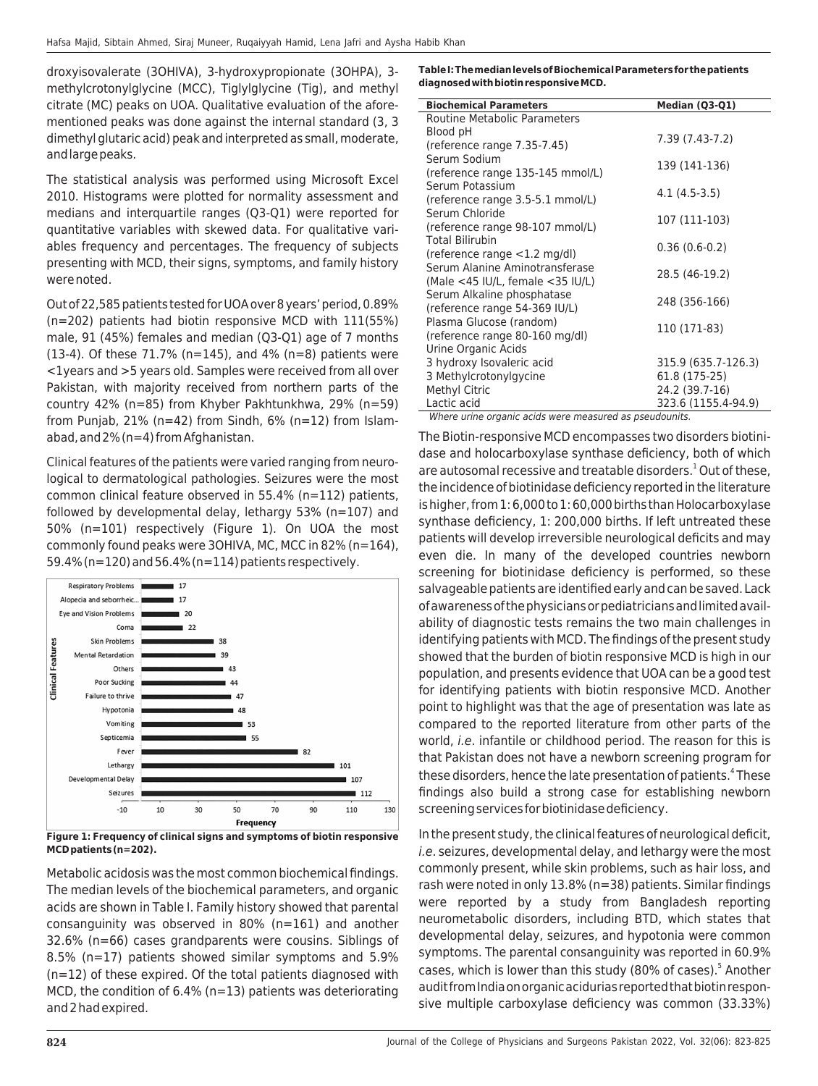droxyisovalerate (3OHIVA), 3-hydroxypropionate (3OHPA), 3 methylcrotonylglycine (MCC), Tiglylglycine (Tig), and methyl citrate (MC) peaks on UOA. Qualitative evaluation of the aforementioned peaks was done against the internal standard (3, 3 dimethyl glutaric acid) peak and interpreted as small, moderate, and large peaks.

The statistical analysis was performed using Microsoft Excel 2010. Histograms were plotted for normality assessment and medians and interquartile ranges (Q3-Q1) were reported for quantitative variables with skewed data. For qualitative variables frequency and percentages. The frequency of subjects presenting with MCD, their signs, symptoms, and family history were noted.

Out of 22,585 patients tested for UOA over 8 years' period, 0.89% (n=202) patients had biotin responsive MCD with 111(55%) male, 91 (45%) females and median (Q3-Q1) age of 7 months (13-4). Of these 71.7% (n=145), and 4% (n=8) patients were <1years and >5 years old. Samples were received from all over Pakistan, with majority received from northern parts of the country 42% (n=85) from Khyber Pakhtunkhwa, 29% (n=59) from Punjab, 21% (n=42) from Sindh,  $6\%$  (n=12) from Islamabad, and 2% (n=4) from Afghanistan.

Clinical features of the patients were varied ranging from neurological to dermatological pathologies. Seizures were the most common clinical feature observed in 55.4% (n=112) patients, followed by developmental delay, lethargy 53% (n=107) and 50% (n=101) respectively (Figure 1). On UOA the most commonly found peaks were 3OHIVA, MC, MCC in 82% (n=164), 59.4% (n=120) and 56.4% (n=114) patients respectively.



**Figure 1: Frequency of clinical signs and symptoms of biotin responsive MCD patients (n=202).**

Metabolic acidosis was the most common biochemical findings. The median levels of the biochemical parameters, and organic acids are shown in Table I. Family history showed that parental consanguinity was observed in 80% (n=161) and another 32.6% (n=66) cases grandparents were cousins. Siblings of 8.5% (n=17) patients showed similar symptoms and 5.9% (n=12) of these expired. Of the total patients diagnosed with MCD, the condition of 6.4% (n=13) patients was deteriorating and 2 had expired.

**Table I: The median levels of Biochemical Parameters for the patients diagnosed with biotin responsive MCD.**

| <b>Biochemical Parameters</b>                                              | Median (Q3-Q1)                             |
|----------------------------------------------------------------------------|--------------------------------------------|
| <b>Routine Metabolic Parameters</b>                                        |                                            |
| Blood pH                                                                   | 7.39 (7.43-7.2)                            |
| (reference range 7.35-7.45)                                                |                                            |
| Serum Sodium                                                               | 139 (141-136)                              |
| (reference range 135-145 mmol/L)<br>Serum Potassium                        |                                            |
|                                                                            | 4.1 (4.5-3.5)                              |
| (reference range 3.5-5.1 mmol/L)<br>Serum Chloride                         |                                            |
| (reference range 98-107 mmol/L)                                            | 107 (111-103)                              |
| <b>Total Bilirubin</b>                                                     |                                            |
| (reference range $<$ 1.2 mg/dl)                                            | $0.36(0.6-0.2)$                            |
| Serum Alanine Aminotransferase                                             |                                            |
| (Male <45 IU/L, female <35 IU/L)                                           | 28.5 (46-19.2)                             |
| Serum Alkaline phosphatase                                                 | 248 (356-166)                              |
| (reference range 54-369 IU/L)                                              |                                            |
| Plasma Glucose (random)                                                    | 110 (171-83)                               |
| (reference range 80-160 mg/dl)                                             |                                            |
| Urine Organic Acids                                                        |                                            |
| 3 hydroxy Isovaleric acid                                                  | 315.9 (635.7-126.3)                        |
| 3 Methylcrotonylgycine                                                     | 61.8 (175-25)                              |
| Methyl Citric                                                              | 24.2 (39.7-16)                             |
| Lactic acid<br>$\overline{1}$<br>$1.1 - 1$<br>$\overline{1}$<br>$14H_1 + $ | 323.6 (1155.4-94.9)<br>all a competitions. |

Where urine organic acids were measured as pseudounits.

The Biotin-responsive MCD encompasses two disorders biotinidase and holocarboxylase synthase deficiency, both of which are autosomal recessive and treatable disorders.<sup>1</sup> Out of these, the incidence of biotinidase deficiency reported in the literature is higher, from 1: 6,000 to 1: 60,000 births than Holocarboxylase synthase deficiency, 1: 200,000 births. If left untreated these patients will develop irreversible neurological deficits and may even die. In many of the developed countries newborn screening for biotinidase deficiency is performed, so these salvageable patients are identified early and can be saved. Lack of awareness of the physicians or pediatricians and limited availability of diagnostic tests remains the two main challenges in identifying patients with MCD. The findings of the present study showed that the burden of biotin responsive MCD is high in our population, and presents evidence that UOA can be a good test for identifying patients with biotin responsive MCD. Another point to highlight was that the age of presentation was late as compared to the reported literature from other parts of the world, i.e. infantile or childhood period. The reason for this is that Pakistan does not have a newborn screening program for these disorders, hence the late presentation of patients.<sup>4</sup> These findings also build a strong case for establishing newborn screening services for biotinidase deficiency.

In the present study, the clinical features of neurological deficit, i.e. seizures, developmental delay, and lethargy were the most commonly present, while skin problems, such as hair loss, and rash were noted in only 13.8% (n=38) patients. Similar findings were reported by a study from Bangladesh reporting neurometabolic disorders, including BTD, which states that developmental delay, seizures, and hypotonia were common symptoms. The parental consanguinity was reported in 60.9% cases, which is lower than this study (80% of cases).<sup>5</sup> Another audit from India on organic acidurias reported that biotin responsive multiple carboxylase deficiency was common (33.33%)